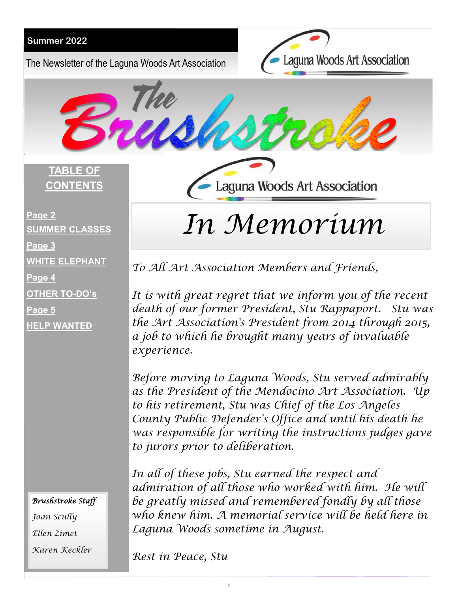The Newsletter of the Laguna Woods Art Association

Laguna Woods Art Association



**TABLE OF CONTENTS**

Laguna Woods Art Association

# **Page 2 SUMMER CLASSES Page 3 WHITE ELEPHANT Page 4 OTHER TO-DO's Page 5 HELP WANTED**

## *Brushstroke Staff Joan Scully Ellen Zimet Karen Keckler*

*In Memorium* 

*To All Art Association Members and Friends,*

*It is with great regret that we inform you of the recent death of our former President, Stu Rappaport. Stu was the Art Association's President from 2014 through 2015, a job to which he brought many years of invaluable experience.* 

*Before moving to Laguna Woods, Stu served admirably as the President of the Mendocino Art Association. Up to his retirement, Stu was Chief of the Los Angeles County Public Defender's Office and until his death he was responsible for writing the instructions judges gave to jurors prior to deliberation.* 

*In all of these jobs, Stu earned the respect and admiration of all those who worked with him. He will be greatly missed and remembered fondly by all those who knew him. A memorial service will be held here in Laguna Woods sometime in August.*

*Rest in Peace, Stu*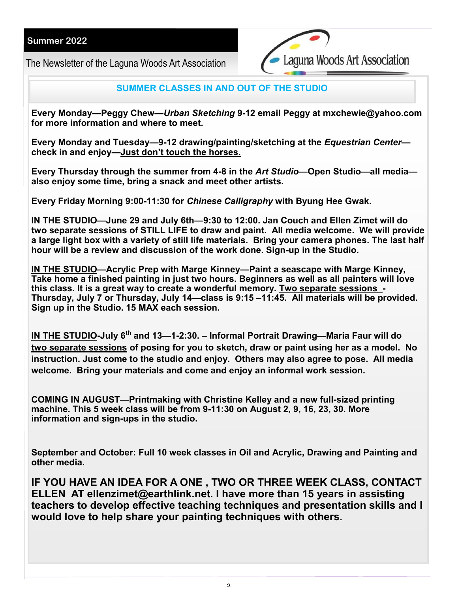The Newsletter of the Laguna Woods Art Association



### **SUMMER CLASSES IN AND OUT OF THE STUDIO**

**Every Monday—Peggy Chew—***Urban Sketching* **9-12 email Peggy at mxchewie@yahoo.com for more information and where to meet.**

**Every Monday and Tuesday—9-12 drawing/painting/sketching at the** *Equestrian Center* **check in and enjoy—Just don't touch the horses.**

**Every Thursday through the summer from 4-8 in the** *Art Studio***—Open Studio—all media also enjoy some time, bring a snack and meet other artists.**

**Every Friday Morning 9:00-11:30 for** *Chinese Calligraphy* **with Byung Hee Gwak.**

**IN THE STUDIO—June 29 and July 6th—9:30 to 12:00. Jan Couch and Ellen Zimet will do two separate sessions of STILL LIFE to draw and paint. All media welcome. We will provide a large light box with a variety of still life materials. Bring your camera phones. The last half hour will be a review and discussion of the work done. Sign-up in the Studio.**

**IN THE STUDIO—Acrylic Prep with Marge Kinney—Paint a seascape with Marge Kinney, Take home a finished painting in just two hours. Beginners as well as all painters will love this class. It is a great way to create a wonderful memory. Two separate sessions - Thursday, July 7 or Thursday, July 14—class is 9:15 –11:45. All materials will be provided. Sign up in the Studio. 15 MAX each session.**

**IN THE STUDIO-July 6th and 13—1-2:30. – Informal Portrait Drawing—Maria Faur will do two separate sessions of posing for you to sketch, draw or paint using her as a model. No instruction. Just come to the studio and enjoy. Others may also agree to pose. All media welcome. Bring your materials and come and enjoy an informal work session.** 

**COMING IN AUGUST—Printmaking with Christine Kelley and a new full-sized printing machine. This 5 week class will be from 9-11:30 on August 2, 9, 16, 23, 30. More information and sign-ups in the studio.** 

**September and October: Full 10 week classes in Oil and Acrylic, Drawing and Painting and other media.**

**IF YOU HAVE AN IDEA FOR A ONE , TWO OR THREE WEEK CLASS, CONTACT ELLEN AT ellenzimet@earthlink.net. I have more than 15 years in assisting teachers to develop effective teaching techniques and presentation skills and I would love to help share your painting techniques with others.**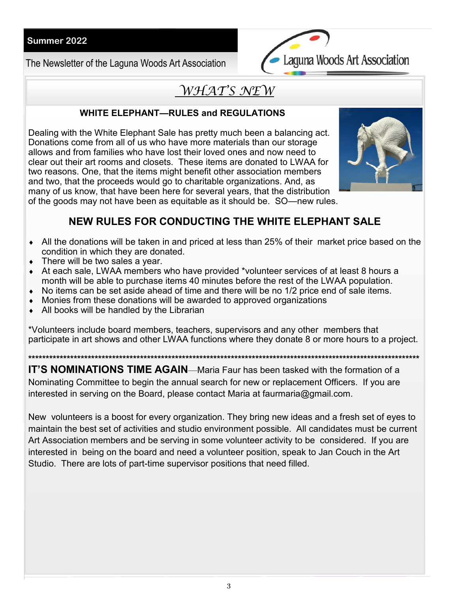The Newsletter of the Laguna Woods Art Association



# WHAT'S NEW

## **WHITE ELEPHANT-RULES and REGULATIONS**

Dealing with the White Elephant Sale has pretty much been a balancing act. Donations come from all of us who have more materials than our storage allows and from families who have lost their loved ones and now need to clear out their art rooms and closets. These items are donated to LWAA for two reasons. One, that the items might benefit other association members and two, that the proceeds would go to charitable organizations. And, as many of us know, that have been here for several years, that the distribution of the goods may not have been as equitable as it should be. SO—new rules.



## NEW RULES FOR CONDUCTING THE WHITE ELEPHANT SALE

- All the donations will be taken in and priced at less than 25% of their market price based on the condition in which they are donated.
- $\bullet$  There will be two sales a year.
- At each sale, LWAA members who have provided \*volunteer services of at least 8 hours a month will be able to purchase items 40 minutes before the rest of the LWAA population.
- $\bullet$  No items can be set aside ahead of time and there will be no 1/2 price end of sale items.
- Monies from these donations will be awarded to approved organizations
- All books will be handled by the Librarian

\*Volunteers include board members, teachers, supervisors and any other members that participate in art shows and other LWAA functions where they donate 8 or more hours to a project.

IT'S NOMINATIONS TIME AGAIN—Maria Faur has been tasked with the formation of a Nominating Committee to begin the annual search for new or replacement Officers. If you are interested in serving on the Board, please contact Maria at faurmaria@gmail.com.

New volunteers is a boost for every organization. They bring new ideas and a fresh set of eyes to maintain the best set of activities and studio environment possible. All candidates must be current Art Association members and be serving in some volunteer activity to be considered. If you are interested in being on the board and need a volunteer position, speak to Jan Couch in the Art Studio. There are lots of part-time supervisor positions that need filled.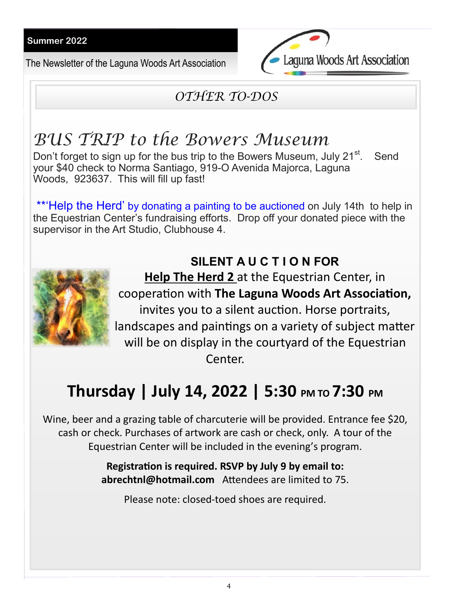The Newsletter of the Laguna Woods Art Association



# *OTHER TO-DOS*

# *BUS TRIP to the Bowers Museum*

Don't forget to sign up for the bus trip to the Bowers Museum, July 21<sup>st</sup>. . Send your \$40 check to Norma Santiago, 919-O Avenida Majorca, Laguna Woods, 923637. This will fill up fast!

\*\*'Help the Herd' by donating a painting to be auctioned on July 14th to help in the Equestrian Center's fundraising efforts. Drop off your donated piece with the supervisor in the Art Studio, Clubhouse 4.

# **SILENT A U C T I O N FOR**



**Help The Herd 2** at the Equestrian Center, in cooperation with **The Laguna Woods Art Association,**  invites you to a silent auction. Horse portraits, landscapes and paintings on a variety of subject matter will be on display in the courtyard of the Equestrian Center.

# **Thursday | July 14, 2022 | 5:30 PM TO 7:30 PM**

Wine, beer and a grazing table of charcuterie will be provided. Entrance fee \$20, cash or check. Purchases of artwork are cash or check, only. A tour of the Equestrian Center will be included in the evening's program.

> **Registration is required. RSVP by July 9 by email to: abrechtnl@hotmail.com** Attendees are limited to 75.

Please note: closed-toed shoes are required.